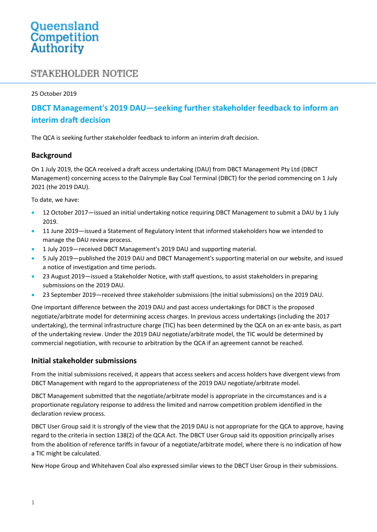# Queensland<br>Competition Authority

# **STAKEHOLDER NOTICE**

#### 25 October 2019

## **DBCT Management's 2019 DAU—seeking further stakeholder feedback to inform an interim draft decision**

The QCA is seeking further stakeholder feedback to inform an interim draft decision.

#### **Background**

On 1 July 2019, the QCA received a draft access undertaking (DAU) from DBCT Management Pty Ltd (DBCT Management) concerning access to the Dalrymple Bay Coal Terminal (DBCT) for the period commencing on 1 July 2021 (the 2019 DAU).

To date, we have:

- 12 October 2017—issued an initial undertaking notice requiring DBCT Management to submit a DAU by 1 July 2019.
- 11 June 2019—issued a Statement of Regulatory Intent that informed stakeholders how we intended to manage the DAU review process.
- 1 July 2019—received DBCT Management's 2019 DAU and supporting material.
- 5 July 2019—published the 2019 DAU and DBCT Management's supporting material on our website, and issued a notice of investigation and time periods.
- 23 August 2019—issued a Stakeholder Notice, with staff questions, to assist stakeholders in preparing submissions on the 2019 DAU.
- 23 September 2019—received three stakeholder submissions (the initial submissions) on the 2019 DAU.

One important difference between the 2019 DAU and past access undertakings for DBCT is the proposed negotiate/arbitrate model for determining access charges. In previous access undertakings (including the 2017 undertaking), the terminal infrastructure charge (TIC) has been determined by the QCA on an ex-ante basis, as part of the undertaking review. Under the 2019 DAU negotiate/arbitrate model, the TIC would be determined by commercial negotiation, with recourse to arbitration by the QCA if an agreement cannot be reached.

#### **Initial stakeholder submissions**

From the initial submissions received, it appears that access seekers and access holders have divergent views from DBCT Management with regard to the appropriateness of the 2019 DAU negotiate/arbitrate model.

DBCT Management submitted that the negotiate/arbitrate model is appropriate in the circumstances and is a proportionate regulatory response to address the limited and narrow competition problem identified in the declaration review process.

DBCT User Group said it is strongly of the view that the 2019 DAU is not appropriate for the QCA to approve, having regard to the criteria in section 138(2) of the QCA Act. The DBCT User Group said its opposition principally arises from the abolition of reference tariffs in favour of a negotiate/arbitrate model, where there is no indication of how a TIC might be calculated.

New Hope Group and Whitehaven Coal also expressed similar views to the DBCT User Group in their submissions.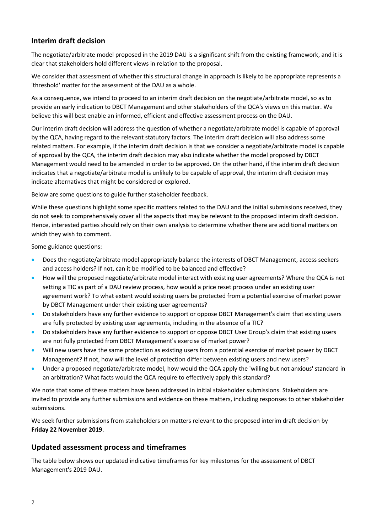## **Interim draft decision**

The negotiate/arbitrate model proposed in the 2019 DAU is a significant shift from the existing framework, and it is clear that stakeholders hold different views in relation to the proposal.

We consider that assessment of whether this structural change in approach is likely to be appropriate represents a 'threshold' matter for the assessment of the DAU as a whole.

As a consequence, we intend to proceed to an interim draft decision on the negotiate/arbitrate model, so as to provide an early indication to DBCT Management and other stakeholders of the QCA's views on this matter. We believe this will best enable an informed, efficient and effective assessment process on the DAU.

Our interim draft decision will address the question of whether a negotiate/arbitrate model is capable of approval by the QCA, having regard to the relevant statutory factors. The interim draft decision will also address some related matters. For example, if the interim draft decision is that we consider a negotiate/arbitrate model is capable of approval by the QCA, the interim draft decision may also indicate whether the model proposed by DBCT Management would need to be amended in order to be approved. On the other hand, if the interim draft decision indicates that a negotiate/arbitrate model is unlikely to be capable of approval, the interim draft decision may indicate alternatives that might be considered or explored.

Below are some questions to guide further stakeholder feedback.

While these questions highlight some specific matters related to the DAU and the initial submissions received, they do not seek to comprehensively cover all the aspects that may be relevant to the proposed interim draft decision. Hence, interested parties should rely on their own analysis to determine whether there are additional matters on which they wish to comment.

Some guidance questions:

- Does the negotiate/arbitrate model appropriately balance the interests of DBCT Management, access seekers and access holders? If not, can it be modified to be balanced and effective?
- How will the proposed negotiate/arbitrate model interact with existing user agreements? Where the QCA is not setting a TIC as part of a DAU review process, how would a price reset process under an existing user agreement work? To what extent would existing users be protected from a potential exercise of market power by DBCT Management under their existing user agreements?
- Do stakeholders have any further evidence to support or oppose DBCT Management's claim that existing users are fully protected by existing user agreements, including in the absence of a TIC?
- Do stakeholders have any further evidence to support or oppose DBCT User Group's claim that existing users are not fully protected from DBCT Management's exercise of market power?
- Will new users have the same protection as existing users from a potential exercise of market power by DBCT Management? If not, how will the level of protection differ between existing users and new users?
- Under a proposed negotiate/arbitrate model, how would the QCA apply the 'willing but not anxious' standard in an arbitration? What facts would the QCA require to effectively apply this standard?

We note that some of these matters have been addressed in initial stakeholder submissions. Stakeholders are invited to provide any further submissions and evidence on these matters, including responses to other stakeholder submissions.

We seek further submissions from stakeholders on matters relevant to the proposed interim draft decision by **Friday 22 November 2019**.

#### **Updated assessment process and timeframes**

The table below shows our updated indicative timeframes for key milestones for the assessment of DBCT Management's 2019 DAU.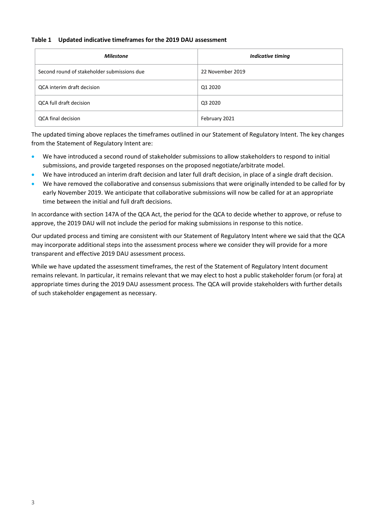#### **Table 1 Updated indicative timeframes for the 2019 DAU assessment**

| <b>Milestone</b>                            | Indicative timing |
|---------------------------------------------|-------------------|
| Second round of stakeholder submissions due | 22 November 2019  |
| QCA interim draft decision                  | Q1 2020           |
| QCA full draft decision                     | Q3 2020           |
| QCA final decision                          | February 2021     |

The updated timing above replaces the timeframes outlined in our Statement of Regulatory Intent. The key changes from the Statement of Regulatory Intent are:

- We have introduced a second round of stakeholder submissions to allow stakeholders to respond to initial submissions, and provide targeted responses on the proposed negotiate/arbitrate model.
- We have introduced an interim draft decision and later full draft decision, in place of a single draft decision.
- We have removed the collaborative and consensus submissions that were originally intended to be called for by early November 2019. We anticipate that collaborative submissions will now be called for at an appropriate time between the initial and full draft decisions.

In accordance with section 147A of the QCA Act, the period for the QCA to decide whether to approve, or refuse to approve, the 2019 DAU will not include the period for making submissions in response to this notice.

Our updated process and timing are consistent with our Statement of Regulatory Intent where we said that the QCA may incorporate additional steps into the assessment process where we consider they will provide for a more transparent and effective 2019 DAU assessment process.

While we have updated the assessment timeframes, the rest of the Statement of Regulatory Intent document remains relevant. In particular, it remains relevant that we may elect to host a public stakeholder forum (or fora) at appropriate times during the 2019 DAU assessment process. The QCA will provide stakeholders with further details of such stakeholder engagement as necessary.